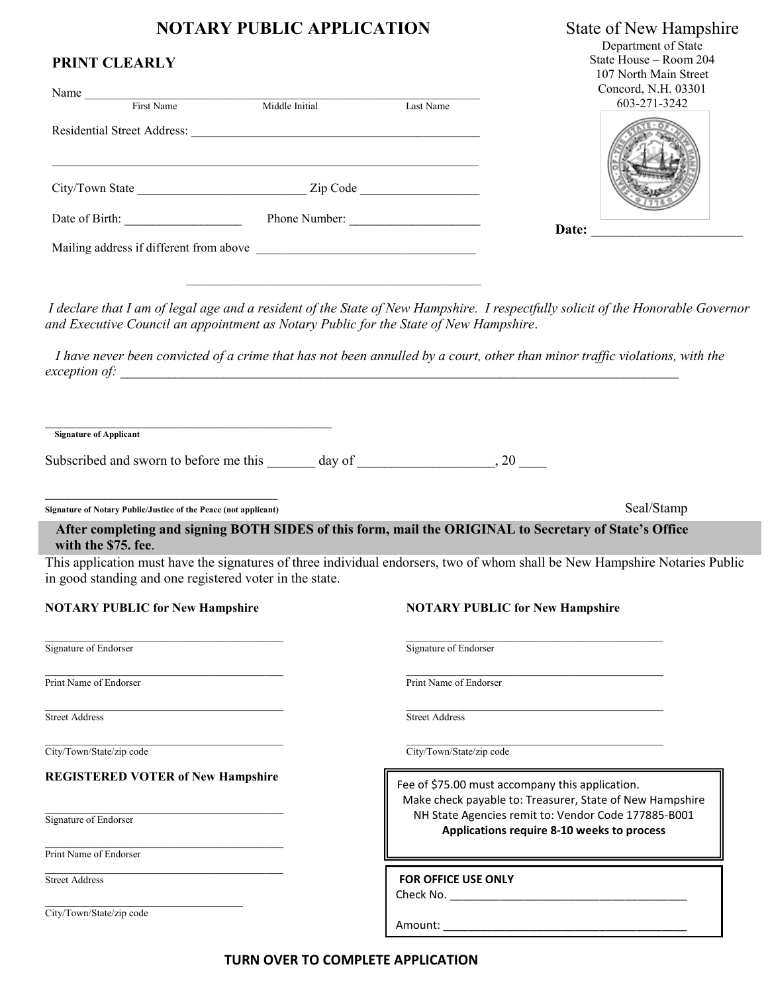## **NOTARY PUBLIC APPLICATION** State of New Hampshire

Department of State State House – Room 204 107 North Main Street 3 N.H. 02201

| Name                                    |                |           | Concord, N.H. USSUI<br>603-271-3242 |
|-----------------------------------------|----------------|-----------|-------------------------------------|
| First Name                              | Middle Initial | Last Name |                                     |
| <b>Residential Street Address:</b>      |                |           |                                     |
| City/Town State                         | Zip Code       |           |                                     |
| Date of Birth:                          | Phone Number:  |           | Date:                               |
| Mailing address if different from above |                |           |                                     |

*I declare that I am of legal age and a resident of the State of New Hampshire. I respectfully solicit of the Honorable Governor and Executive Council an appointment as Notary Public for the State of New Hampshire*.

 *I have never been convicted of a crime that has not been annulled by a court, other than minor traffic violations, with the exception of:* 

\_\_\_\_\_\_\_\_\_\_\_\_\_\_\_\_\_\_\_\_\_\_\_\_\_\_\_\_\_\_\_\_\_\_\_\_\_\_\_\_ **Signature of Applicant** 

**PRINT CLEARLY**

Subscribed and sworn to before me this day of  $\qquad \qquad , 20$ 

 $\mathcal{L}_\mathcal{L} = \{ \mathcal{L}_\mathcal{L} = \{ \mathcal{L}_\mathcal{L} = \{ \mathcal{L}_\mathcal{L} = \{ \mathcal{L}_\mathcal{L} = \{ \mathcal{L}_\mathcal{L} = \{ \mathcal{L}_\mathcal{L} = \{ \mathcal{L}_\mathcal{L} = \{ \mathcal{L}_\mathcal{L} = \{ \mathcal{L}_\mathcal{L} = \{ \mathcal{L}_\mathcal{L} = \{ \mathcal{L}_\mathcal{L} = \{ \mathcal{L}_\mathcal{L} = \{ \mathcal{L}_\mathcal{L} = \{ \mathcal{L}_\mathcal{$ 

 $\frac{1}{2}$  ,  $\frac{1}{2}$  ,  $\frac{1}{2}$  ,  $\frac{1}{2}$  ,  $\frac{1}{2}$  ,  $\frac{1}{2}$  ,  $\frac{1}{2}$  ,  $\frac{1}{2}$  ,  $\frac{1}{2}$  ,  $\frac{1}{2}$  ,  $\frac{1}{2}$  ,  $\frac{1}{2}$  ,  $\frac{1}{2}$  ,  $\frac{1}{2}$  ,  $\frac{1}{2}$  ,  $\frac{1}{2}$  ,  $\frac{1}{2}$  ,  $\frac{1}{2}$  ,  $\frac{1$ **Signature of Notary Public/Justice of the Peace (not applicant)** Seal/Stamp

### **After completing and signing BOTH SIDES of this form, mail the ORIGINAL to Secretary of State's Office with the \$75. fee**.

This application must have the signatures of three individual endorsers, two of whom shall be New Hampshire Notaries Public in good standing and one registered voter in the state.

#### **NOTARY PUBLIC for New Hampshire NOTARY PUBLIC for New Hampshire**

 $\mathcal{L}_\text{max}$  , and the contribution of the contribution of the contribution of the contribution of the contribution of the contribution of the contribution of the contribution of the contribution of the contribution of t Signature of Endorser Signature of Endorser Signature of Endorser

 $\_$  , and the set of the set of the set of the set of the set of the set of the set of the set of the set of the set of the set of the set of the set of the set of the set of the set of the set of the set of the set of th Print Name of Endorser Print Name of Endorser

 $\mathcal{L}_\text{max}$  , and the contribution of the contribution of the contribution of the contribution of the contribution of the contribution of the contribution of the contribution of the contribution of the contribution of t Street Address Street Address Street Address Street Address Street Address Street Address Street Address Street Address Street Address Street Address Street Address Street Address Street Address Street Address Street Addre

#### **REGISTERED VOTER of New Hampshire**

 $\mathcal{L}_\text{max}$  and  $\mathcal{L}_\text{max}$  and  $\mathcal{L}_\text{max}$  and  $\mathcal{L}_\text{max}$ 

\_\_\_\_\_\_\_\_\_\_\_\_\_\_\_\_\_\_\_\_\_\_\_\_\_\_\_\_\_\_\_\_\_\_\_\_\_\_

\_\_\_\_\_\_\_\_\_\_\_\_\_\_\_\_\_\_\_\_\_\_\_\_\_\_\_\_\_\_\_\_\_\_\_\_\_\_

 $\mathcal{L}_\text{max}$  , where  $\mathcal{L}_\text{max}$  and  $\mathcal{L}_\text{max}$  and  $\mathcal{L}_\text{max}$ 

Signature of Endorser

Print Name of Endorser

Street Address

City/Town/State/zip code

 $\_$  , and the set of the set of the set of the set of the set of the set of the set of the set of the set of the set of the set of the set of the set of the set of the set of the set of the set of the set of the set of th City/Town/State/zip code City/Town/State/zip code

> Fee of \$75.00 must accompany this application. Make check payable to: Treasurer, State of New Hampshire NH State Agencies remit to: Vendor Code 177885-B001 **Applications require 8-10 weeks to process**

**FOR OFFICE USE ONLY** 

Check No. \_\_\_\_\_\_\_\_\_\_\_\_\_\_\_\_\_\_\_\_\_\_\_\_\_\_\_\_\_\_\_\_\_\_\_\_\_\_

Amount: